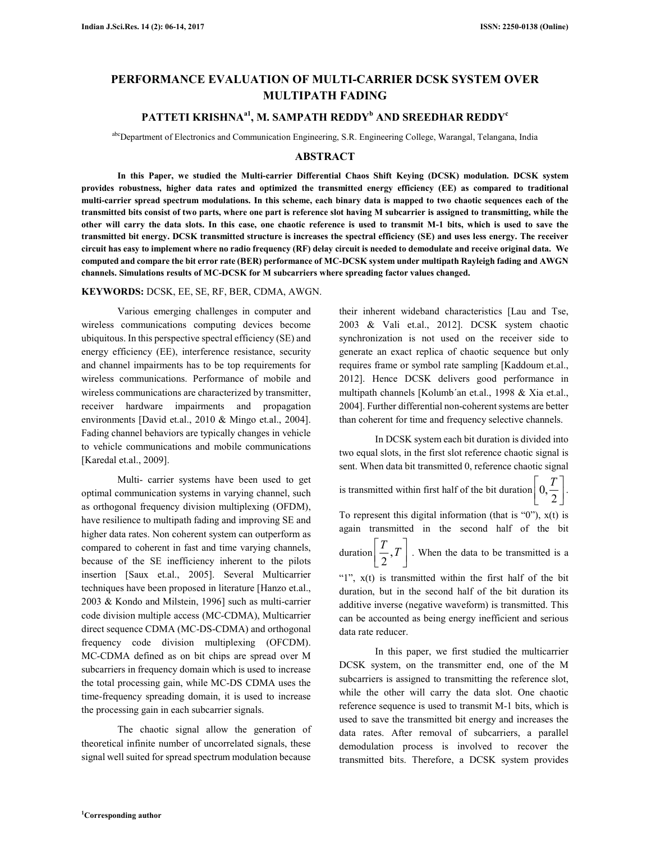# **PERFORMANCE EVALUATION OF MULTI-CARRIER DCSK SYSTEM OVER MULTIPATH FADING**

# **PATTETI KRISHNAa1, M. SAMPATH REDDY<sup>b</sup> AND SREEDHAR REDDY<sup>c</sup>**

abcDepartment of Electronics and Communication Engineering, S.R. Engineering College, Warangal, Telangana, India

# **ABSTRACT**

**In this Paper, we studied the Multi-carrier Differential Chaos Shift Keying (DCSK) modulation. DCSK system provides robustness, higher data rates and optimized the transmitted energy efficiency (EE) as compared to traditional multi-carrier spread spectrum modulations. In this scheme, each binary data is mapped to two chaotic sequences each of the transmitted bits consist of two parts, where one part is reference slot having M subcarrier is assigned to transmitting, while the other will carry the data slots. In this case, one chaotic reference is used to transmit M-1 bits, which is used to save the transmitted bit energy. DCSK transmitted structure is increases the spectral efficiency (SE) and uses less energy. The receiver circuit has easy to implement where no radio frequency (RF) delay circuit is needed to demodulate and receive original data. We computed and compare the bit error rate (BER) performance of MC-DCSK system under multipath Rayleigh fading and AWGN channels. Simulations results of MC-DCSK for M subcarriers where spreading factor values changed.** 

### **KEYWORDS:** DCSK, EE, SE, RF, BER, CDMA, AWGN.

Various emerging challenges in computer and wireless communications computing devices become ubiquitous. In this perspective spectral efficiency (SE) and energy efficiency (EE), interference resistance, security and channel impairments has to be top requirements for wireless communications. Performance of mobile and wireless communications are characterized by transmitter, receiver hardware impairments and propagation environments [David et.al., 2010 & Mingo et.al., 2004]. Fading channel behaviors are typically changes in vehicle to vehicle communications and mobile communications [Karedal et.al., 2009].

Multi- carrier systems have been used to get optimal communication systems in varying channel, such as orthogonal frequency division multiplexing (OFDM), have resilience to multipath fading and improving SE and higher data rates. Non coherent system can outperform as compared to coherent in fast and time varying channels, because of the SE inefficiency inherent to the pilots insertion [Saux et.al., 2005]. Several Multicarrier techniques have been proposed in literature [Hanzo et.al., 2003 & Kondo and Milstein, 1996] such as multi-carrier code division multiple access (MC-CDMA), Multicarrier direct sequence CDMA (MC-DS-CDMA) and orthogonal frequency code division multiplexing (OFCDM). MC-CDMA defined as on bit chips are spread over M subcarriers in frequency domain which is used to increase the total processing gain, while MC-DS CDMA uses the time-frequency spreading domain, it is used to increase the processing gain in each subcarrier signals.

The chaotic signal allow the generation of theoretical infinite number of uncorrelated signals, these signal well suited for spread spectrum modulation because

their inherent wideband characteristics [Lau and Tse, 2003 & Vali et.al., 2012]. DCSK system chaotic synchronization is not used on the receiver side to generate an exact replica of chaotic sequence but only requires frame or symbol rate sampling [Kaddoum et.al., 2012]. Hence DCSK delivers good performance in multipath channels [Kolumb´an et.al., 1998 & Xia et.al., 2004]. Further differential non-coherent systems are better than coherent for time and frequency selective channels.

In DCSK system each bit duration is divided into two equal slots, in the first slot reference chaotic signal is sent. When data bit transmitted 0, reference chaotic signal is transmitted within first half of the bit duration  $\vert 0$ , 2  $\left| \right.$   $T$   $\left| \right.$  $\left[\frac{0, -}{2}\right]$ . To represent this digital information (that is "0"),  $x(t)$  is again transmitted in the second half of the bit duration  $\frac{1}{2}$ , 2  $\left| \frac{T}{2}, T \right|$  $\left[\frac{1}{2}, T\right]$ . When the data to be transmitted is a "1",  $x(t)$  is transmitted within the first half of the bit duration, but in the second half of the bit duration its additive inverse (negative waveform) is transmitted. This can be accounted as being energy inefficient and serious

In this paper, we first studied the multicarrier DCSK system, on the transmitter end, one of the M subcarriers is assigned to transmitting the reference slot, while the other will carry the data slot. One chaotic reference sequence is used to transmit M-1 bits, which is used to save the transmitted bit energy and increases the data rates. After removal of subcarriers, a parallel demodulation process is involved to recover the transmitted bits. Therefore, a DCSK system provides

data rate reducer.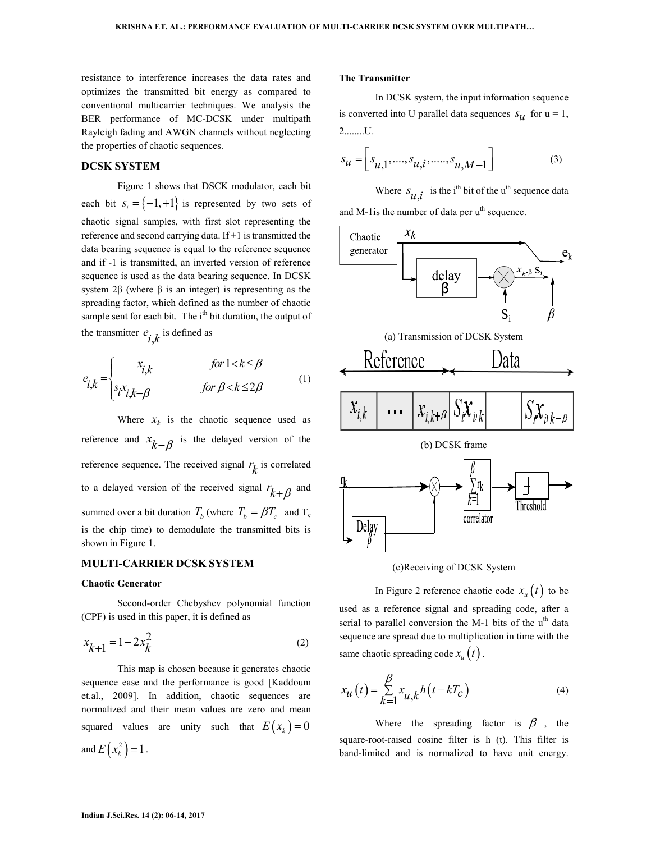resistance to interference increases the data rates and optimizes the transmitted bit energy as compared to conventional multicarrier techniques. We analysis the BER performance of MC-DCSK under multipath Rayleigh fading and AWGN channels without neglecting the properties of chaotic sequences.

### **DCSK SYSTEM**

Figure 1 shows that DSCK modulator, each bit each bit  $s_i = \{-1, +1\}$  is represented by two sets of chaotic signal samples, with first slot representing the reference and second carrying data. If +1 is transmitted the data bearing sequence is equal to the reference sequence and if -1 is transmitted, an inverted version of reference sequence is used as the data bearing sequence. In DCSK system  $2β$  (where  $β$  is an integer) is representing as the spreading factor, which defined as the number of chaotic sample sent for each bit. The i<sup>th</sup> bit duration, the output of the transmitter  $e_{i,k}$  is defined as

$$
e_{i,k} = \begin{cases} x_{i,k} & \text{for } 1 < k \le \beta \\ s_i x_{i,k} - \beta & \text{for } \beta < k \le 2\beta \end{cases} \tag{1}
$$

Where  $x_k$  is the chaotic sequence used as reference and  $x_{k-\beta}$  is the delayed version of the reference sequence. The received signal  $r_k$  is correlated to a delayed version of the received signal  $r_{k+\beta}$  and summed over a bit duration  $T_b$  (where  $T_b = \beta T_c$  and  $T_c$ is the chip time) to demodulate the transmitted bits is shown in Figure 1.

### **MULTI-CARRIER DCSK SYSTEM**

#### **Chaotic Generator**

Second-order Chebyshev polynomial function (CPF) is used in this paper, it is defined as

$$
x_{k+1} = 1 - 2x_k^2 \tag{2}
$$

This map is chosen because it generates chaotic sequence ease and the performance is good [Kaddoum et.al., 2009]. In addition, chaotic sequences are normalized and their mean values are zero and mean squared values are unity such that  $E(x_k) = 0$ and  $E(x_k^2) = 1$ .

#### **The Transmitter**

In DCSK system, the input information sequence is converted into U parallel data sequences  $s_{\mathcal{U}}$  for  $u = 1$ , 2........U.

$$
s_{\mathcal{U}} = \left[ s_{\mathcal{U},1}, \dots, s_{\mathcal{U},i}, \dots, s_{\mathcal{U},M-1} \right] \tag{3}
$$

Where  $s_{\mu,i}$  is the i<sup>th</sup> bit of the u<sup>th</sup> sequence data and M-1 is the number of data per  $u<sup>th</sup>$  sequence.



(c)Receiving of DCSK System

In Figure 2 reference chaotic code  $x_{\mu}(t)$  to be

used as a reference signal and spreading code, after a serial to parallel conversion the M-1 bits of the  $u<sup>th</sup>$  data sequence are spread due to multiplication in time with the same chaotic spreading code  $x_{\mu}$  (*t*).

$$
x_{\mathcal{U}}(t) = \sum_{k=1}^{\beta} x_{\mathcal{U},k} h\big(t - kT_c\big) \tag{4}
$$

Where the spreading factor is  $\beta$ , the square-root-raised cosine filter is h (t). This filter is band-limited and is normalized to have unit energy.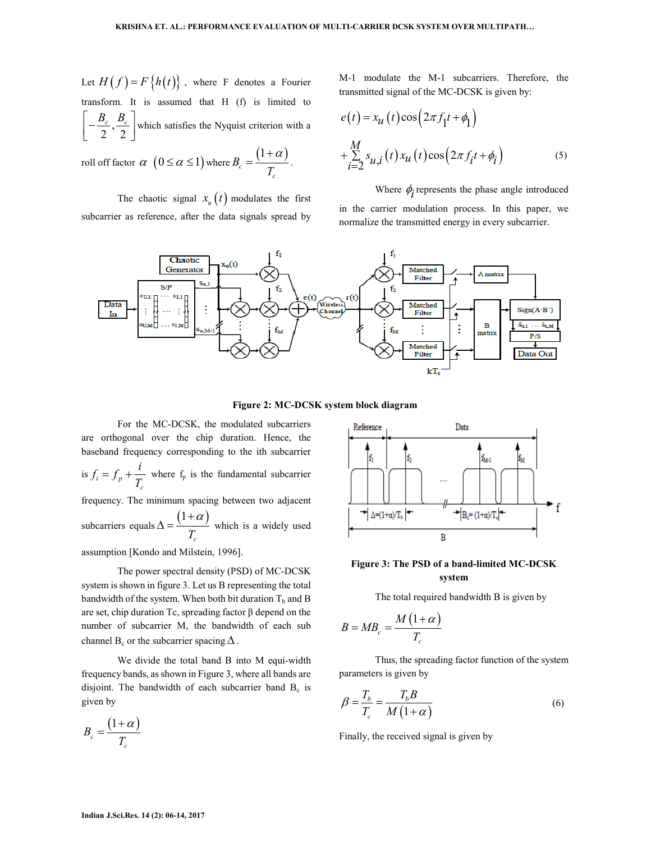Let  $H(f) = F\{h(t)\}\$ , where F denotes a Fourier transform. It is assumed that H (f) is limited to ,  $2^{\degree}$  2  $\left[-\frac{B_c}{2}, \frac{B_c}{2}\right]$  which satisfies the Nyquist criterion with a

roll off factor  $\alpha \left( 0 \le \alpha \le 1 \right)$  where  $B_c = \frac{\left( 1 + \alpha \right)}{T}$ *c c B T*  $+ \alpha$  $=\frac{(1+\alpha)}{2}$ .

The chaotic signal  $x_u(t)$  modulates the first subcarrier as reference, after the data signals spread by M-1 modulate the M-1 subcarriers. Therefore, the transmitted signal of the MC-DCSK is given by:

$$
e(t) = x_u(t)\cos\left(2\pi f_1 t + \phi_1\right)
$$
  
+ 
$$
\sum_{i=2}^{M} s_{u,i}(t) x_u(t) \cos\left(2\pi f_i t + \phi_i\right)
$$
 (5)

Where  $\phi_i$  represents the phase angle introduced

in the carrier modulation process. In this paper, we normalize the transmitted energy in every subcarrier.



**Figure 2: MC-DCSK system block diagram** 

For the MC-DCSK, the modulated subcarriers are orthogonal over the chip duration. Hence, the baseband frequency corresponding to the ith subcarrier is  $f_i = f_p$ *c*  $f_i = f_n + \frac{i}{\pi}$ *T*  $=f_p + \frac{i}{T}$  where  $f_p$  is the fundamental subcarrier frequency. The minimum spacing between two adjacent subcarriers equals  $\Delta = \frac{(1+\alpha)}{n}$ *Tc*  $+ \alpha$  $\Delta = \frac{(1 + \alpha)}{n}$  which is a widely used assumption [Kondo and Milstein, 1996].

The power spectral density (PSD) of MC-DCSK system is shown in figure 3. Let us B representing the total bandwidth of the system. When both bit duration  $T<sub>b</sub>$  and B are set, chip duration Tc, spreading factor β depend on the number of subcarrier M, the bandwidth of each sub channel B<sub>c</sub> or the subcarrier spacing  $\Delta$ .

We divide the total band B into M equi-width frequency bands, as shown in Figure 3, where all bands are disjoint. The bandwidth of each subcarrier band  $B_c$  is given by

 $(1+\alpha)$ *c c B T*  $+ \alpha$ =



# **Figure 3: The PSD of a band-limited MC-DCSK system**

The total required bandwidth B is given by

$$
B = MB_c = \frac{M(1+\alpha)}{T_c}
$$

Thus, the spreading factor function of the system parameters is given by

$$
\beta = \frac{T_b}{T_c} = \frac{T_b B}{M(1+\alpha)}
$$
\n(6)

Finally, the received signal is given by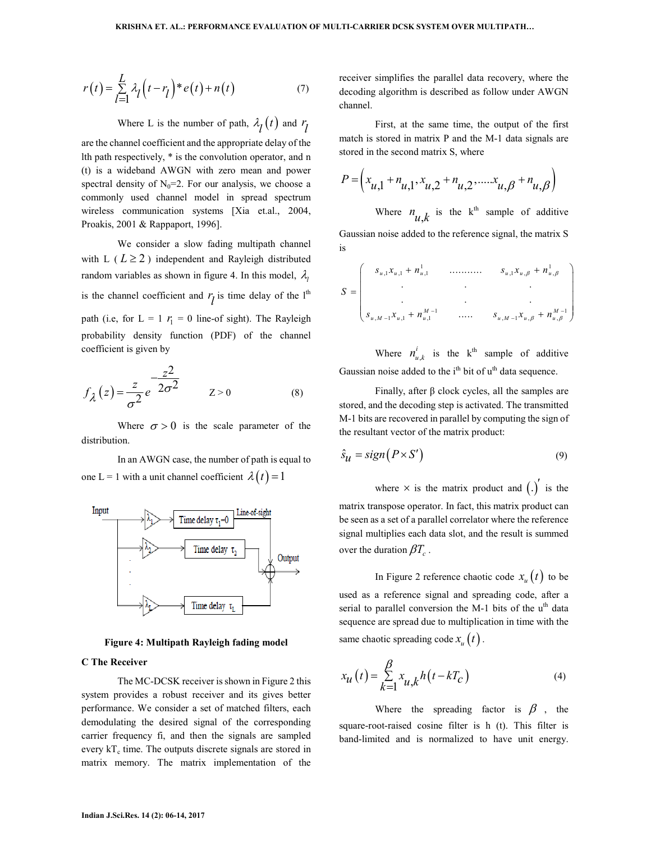$$
r(t) = \sum_{l=1}^{L} \lambda_l \left( t - r_l \right) * e(t) + n(t) \tag{7}
$$

Where L is the number of path,  $\lambda_l(t)$  and  $r_l$ are the channel coefficient and the appropriate delay of the lth path respectively, \* is the convolution operator, and n (t) is a wideband AWGN with zero mean and power spectral density of  $N_0=2$ . For our analysis, we choose a commonly used channel model in spread spectrum wireless communication systems [Xia et.al., 2004, Proakis, 2001 & Rappaport, 1996].

We consider a slow fading multipath channel with L ( $L \geq 2$ ) independent and Rayleigh distributed random variables as shown in figure 4. In this model,  $\lambda$ is the channel coefficient and  $r_l$  is time delay of the  $l^{\text{th}}$ path (i.e, for  $L = 1$   $r_1 = 0$  line-of sight). The Rayleigh probability density function (PDF) of the channel coefficient is given by

$$
f_{\lambda}(z) = \frac{z}{\sigma^2} e^{-\frac{z^2}{2\sigma^2}} \qquad z > 0 \tag{8}
$$

Where  $\sigma > 0$  is the scale parameter of the distribution.

In an AWGN case, the number of path is equal to one L = 1 with a unit channel coefficient  $\lambda(t) = 1$ 



**Figure 4: Multipath Rayleigh fading model** 

### **C The Receiver**

The MC-DCSK receiver is shown in Figure 2 this system provides a robust receiver and its gives better performance. We consider a set of matched filters, each demodulating the desired signal of the corresponding carrier frequency fi, and then the signals are sampled every  $kT_c$  time. The outputs discrete signals are stored in matrix memory. The matrix implementation of the

receiver simplifies the parallel data recovery, where the decoding algorithm is described as follow under AWGN channel.

First, at the same time, the output of the first match is stored in matrix P and the M-1 data signals are stored in the second matrix S, where

$$
P = \left(x_{u,1} + n_{u,1}, x_{u,2} + n_{u,2}, \dots, x_{u,\beta} + n_{u,\beta}\right)
$$
  
Where  $n_{u,k}$  is the k<sup>th</sup> sample of additive

Gaussian noise added to the reference signal, the matrix S is

$$
S = \begin{pmatrix} s_{u,1}x_{u,1} + n_{u,1}^{1} & \dots & s_{u,1}x_{u,\beta} + n_{u,\beta}^{1} \\ \cdot & \cdot & \cdot \\ \cdot & \cdot & \cdot \\ s_{u,M-1}x_{u,1} + n_{u,1}^{M-1} & \dots & s_{u,M-1}x_{u,\beta} + n_{u,\beta}^{M-1} \end{pmatrix}
$$

Where  $n_{u}$ ,  $n_{u,k}^i$  is the k<sup>th</sup> sample of additive Gaussian noise added to the  $i<sup>th</sup>$  bit of  $u<sup>th</sup>$  data sequence.

Finally, after β clock cycles, all the samples are stored, and the decoding step is activated. The transmitted M-1 bits are recovered in parallel by computing the sign of the resultant vector of the matrix product:

$$
\hat{s}_{\mathcal{U}} = sign\big(P \times S'\big) \tag{9}
$$

where  $\times$  is the matrix product and  $(.)'$  is the matrix transpose operator. In fact, this matrix product can be seen as a set of a parallel correlator where the reference signal multiplies each data slot, and the result is summed over the duration  $\beta T_c$ .

In Figure 2 reference chaotic code  $x_{\mu}(t)$  to be

used as a reference signal and spreading code, after a serial to parallel conversion the M-1 bits of the u<sup>th</sup> data sequence are spread due to multiplication in time with the same chaotic spreading code  $x_{\mu}$  (*t*).

$$
x_{\mathcal{U}}(t) = \sum_{k=1}^{\beta} x_{\mathcal{U},k} h\big(t - kT_c\big) \tag{4}
$$

Where the spreading factor is  $\beta$ , the square-root-raised cosine filter is h (t). This filter is band-limited and is normalized to have unit energy.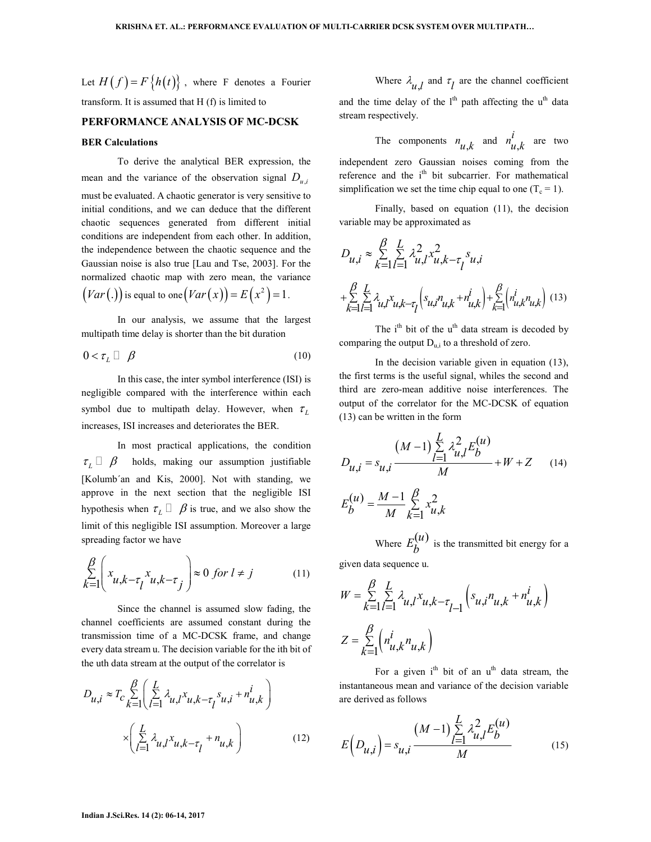Let  $H(f) = F\{h(t)\}\$ , where F denotes a Fourier transform. It is assumed that H (f) is limited to

### **PERFORMANCE ANALYSIS OF MC-DCSK**

#### **BER Calculations**

To derive the analytical BER expression, the mean and the variance of the observation signal  $D_{u,i}$ must be evaluated. A chaotic generator is very sensitive to initial conditions, and we can deduce that the different chaotic sequences generated from different initial conditions are independent from each other. In addition, the independence between the chaotic sequence and the Gaussian noise is also true [Lau and Tse, 2003]. For the normalized chaotic map with zero mean, the variance  $(Var(.)$  is equal to one  $(Var(x)) = E(x^2) = 1$ .

In our analysis, we assume that the largest multipath time delay is shorter than the bit duration

$$
0 < \tau_L \qquad \beta \tag{10}
$$

In this case, the inter symbol interference (ISI) is negligible compared with the interference within each symbol due to multipath delay. However, when  $\tau_L$ increases, ISI increases and deteriorates the BER.

In most practical applications, the condition  $\tau_{I}$  $\beta$  holds, making our assumption justifiable [Kolumb´an and Kis, 2000]. Not with standing, we approve in the next section that the negligible ISI hypothesis when  $\tau_L$  $\beta$  is true, and we also show the limit of this negligible ISI assumption. Moreover a large spreading factor we have

$$
\sum_{k=1}^{\beta} \left( x_{u,k-\tau} x_{u,k-\tau} \right) \approx 0 \text{ for } l \neq j \tag{11}
$$

Since the channel is assumed slow fading, the channel coefficients are assumed constant during the transmission time of a MC-DCSK frame, and change every data stream u. The decision variable for the ith bit of the uth data stream at the output of the correlator is

$$
D_{u,i} \approx T_c \sum_{k=1}^{\beta} \left( \sum_{l=1}^{L} \lambda_{u,l} x_{u,k-\tau_l} s_{u,i} + n_{u,k}^{i} \right)
$$

$$
\times \left( \sum_{l=1}^{L} \lambda_{u,l} x_{u,k-\tau_l} + n_{u,k} \right)
$$
(12)

Where  $\lambda_{u,l}$  and  $\tau_l$  are the channel coefficient and the time delay of the  $l<sup>th</sup>$  path affecting the u<sup>th</sup> data stream respectively.

The components  $n_{u,k}$  and  $n_u^l$ ,  $n_{u,k}$ <sup>*i*</sup> are two independent zero Gaussian noises coming from the reference and the i<sup>th</sup> bit subcarrier. For mathematical simplification we set the time chip equal to one  $(T_c = 1)$ .

Finally, based on equation (11), the decision variable may be approximated as

$$
D_{u,i} \approx \sum_{k=1}^{\beta} \sum_{l=1}^{L} \lambda_{u,l}^2 x_{u,k-\tau_l}^2 s_{u,i}
$$
  
+
$$
\sum_{k=1}^{\beta} \sum_{l=1}^{L} \lambda_{u,l} x_{u,k-\tau_l} \left( s_{u,i} n_{u,k} + n_{u,k}^i \right) + \sum_{k=1}^{\beta} \left( n_{u,k}^i n_{u,k} \right) (13)
$$

The  $i<sup>th</sup>$  bit of the u<sup>th</sup> data stream is decoded by comparing the output  $D_{u,i}$  to a threshold of zero.

In the decision variable given in equation (13), the first terms is the useful signal, whiles the second and third are zero-mean additive noise interferences. The output of the correlator for the MC-DCSK of equation (13) can be written in the form

$$
D_{u,i} = s_{u,i} \frac{(M-1)\sum_{l=1}^{L} \lambda_{u,l}^{2} E_{b}^{(u)}}{M} + W + Z \qquad (14)
$$
  

$$
E_{b}^{(u)} = \frac{M-1}{M} \sum_{k=1}^{B} x_{u,k}^{2}
$$
  
Where  $E_{b}^{(u)}$  is the transmitted bit energy for a

given data sequence u.

$$
W = \sum_{k=1}^{\beta} \sum_{l=1}^{L} \lambda_{u,l} x_{u,k-\tau_{l-1}} \left( s_{u,i} n_{u,k} + n_{u,k}^{i} \right)
$$
  

$$
Z = \sum_{k=1}^{\beta} \left( n_{u,k}^{i} n_{u,k} \right)
$$

For a given  $i<sup>th</sup>$  bit of an  $u<sup>th</sup>$  data stream, the instantaneous mean and variance of the decision variable are derived as follows

$$
E(D_{u,i}) = s_{u,i} \frac{(M-1)\sum_{l=1}^{L} \lambda_{u,l}^{2} E_{b}^{(u)}}{M}
$$
 (15)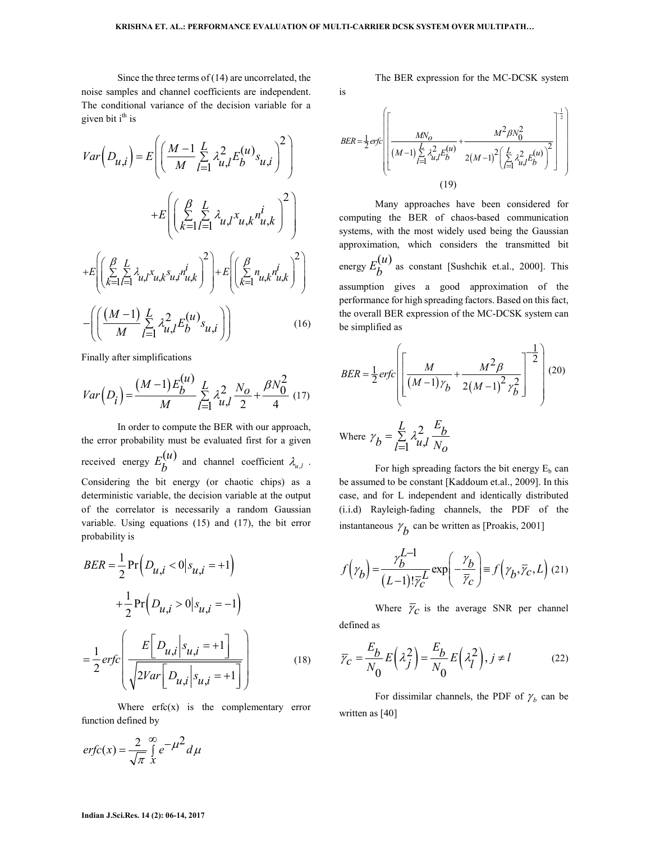Since the three terms of (14) are uncorrelated, the noise samples and channel coefficients are independent. The conditional variance of the decision variable for a given bit  $i<sup>th</sup>$  is

$$
Var(D_{u,i}) = E\left(\left(\frac{M-1}{M}\sum_{l=1}^{L} \lambda_{u,l}^{2} E_{b}^{(u)} s_{u,i}\right)^{2}\right) + E\left(\left(\sum_{k=1}^{B} \sum_{l=1}^{L} \lambda_{u,l} x_{u,k} n_{u,k}^{i}\right)^{2}\right)
$$

$$
+ E\left(\left(\sum_{k=1}^{B} \sum_{l=1}^{L} \lambda_{u,l} x_{u,k} s_{u,i} n_{u,k}^{i}\right)^{2}\right) + E\left(\left(\sum_{k=1}^{B} n_{u,k} n_{u,k}^{i}\right)^{2}\right)
$$

$$
- \left(\left(\frac{(M-1)}{M}\sum_{l=1}^{L} \lambda_{u,l}^{2} E_{b}^{(u)} s_{u,i}\right)\right)
$$
(16)

Finally after simplifications

$$
Var(D_i) = \frac{(M-1)E_b^{(u)}}{M} \sum_{l=1}^{L} \lambda_{u,l}^2 \frac{N_O}{2} + \frac{\beta N_0^2}{4} (17)
$$

In order to compute the BER with our approach, the error probability must be evaluated first for a given received energy  $E_b^{(u)}$  and channel coefficient  $\lambda_{u,l}$ . Considering the bit energy (or chaotic chips) as a deterministic variable, the decision variable at the output of the correlator is necessarily a random Gaussian variable. Using equations (15) and (17), the bit error probability is

$$
BER = \frac{1}{2} \Pr\left(D_{u,i} < 0 | s_{u,i} = +1\right)
$$
\n
$$
+ \frac{1}{2} \Pr\left(D_{u,i} > 0 | s_{u,i} = -1\right)
$$
\n
$$
= \frac{1}{2} \operatorname{erfc}\left(\frac{E\left[D_{u,i} | s_{u,i} = +1\right]}{\sqrt{2Var\left[D_{u,i} | s_{u,i} = +1\right]}}\right) \tag{18}
$$

Where  $erfc(x)$  is the complementary error function defined by

$$
erfc(x) = \frac{2}{\sqrt{\pi}} \int_{x}^{\infty} e^{-\mu^2} d\mu
$$

The BER expression for the MC-DCSK system

is

$$
BER = \frac{1}{2} erfc \left[ \frac{MN_0}{(M-1)\sum\limits_{l=1}^{L} \lambda_{u,l}^2 E_b^{(u)}} + \frac{M^2 \beta N_0^2}{2(M-1)^2 \left(\sum\limits_{l=1}^{L} \lambda_{u,l}^2 E_b^{(u)}\right)^2} \right]^{-\frac{1}{2}}
$$
\n(19)

Many approaches have been considered for computing the BER of chaos-based communication systems, with the most widely used being the Gaussian approximation, which considers the transmitted bit energy  $E_b^{(u)}$  as constant [Sushchik et.al., 2000]. This assumption gives a good approximation of the performance for high spreading factors. Based on this fact, the overall BER expression of the MC-DCSK system can be simplified as

$$
BER = \frac{1}{2} erfc \left[ \left( \frac{M}{(M-1)\gamma_b} + \frac{M^2 \beta}{2(M-1)^2 \gamma_b^2} \right)^{-\frac{1}{2}} \right] (20)
$$

11.12

Where 
$$
\gamma_b = \sum_{l=1}^{L} \lambda_{u,l}^2 \frac{E_b}{N_o}
$$

For high spreading factors the bit energy  $E_b$  can be assumed to be constant [Kaddoum et.al., 2009]. In this case, and for L independent and identically distributed (i.i.d) Rayleigh-fading channels, the PDF of the instantaneous  $\gamma_b$  can be written as [Proakis, 2001]

$$
f(\gamma_b) = \frac{\gamma_b^{L-1}}{(L-1)!\bar{\gamma}_c^L} \exp\left(-\frac{\gamma_b}{\bar{\gamma}_c}\right) = f(\gamma_b, \bar{\gamma}_c, L) \tag{21}
$$

Where  $\overline{\gamma}_c$  is the average SNR per channel defined as

$$
\overline{\gamma}_c = \frac{E_b}{N_0} E\left(\lambda_j^2\right) = \frac{E_b}{N_0} E\left(\lambda_l^2\right), j \neq l \tag{22}
$$

For dissimilar channels, the PDF of  $\gamma_b$  can be written as [40]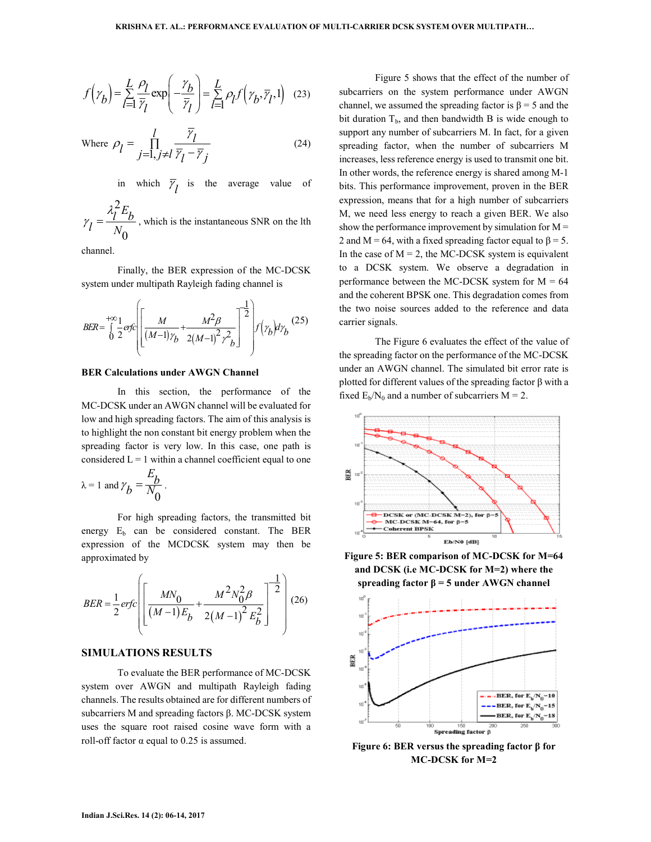$$
f(\gamma_b) = \sum_{l=1}^{L} \frac{\rho_l}{\overline{\gamma}_l} \exp\left(-\frac{\gamma_b}{\overline{\gamma}_l}\right) = \sum_{l=1}^{L} \rho_l f(\gamma_b, \overline{\gamma}_l, 1) \quad (23)
$$

Where 
$$
\rho_l = \prod_{j=1, j \neq l}^{l} \frac{\overline{Y}_l}{\overline{Y}_l - \overline{Y}_j}
$$
 (24)

in which  $\overline{\gamma}_l$  is the average value of

2 0  $i^2E_b$  $l = \frac{N}{N}$ λ  $\gamma_I = \frac{l}{l}$ , which is the instantaneous SNR on the lth

channel.

Finally, the BER expression of the MC-DCSK system under multipath Rayleigh fading channel is

$$
BER = \int_{0}^{+\infty} \frac{1}{2} erfc \left[ \left( \frac{M}{(M-1)\gamma_b} + \frac{M^2 \beta}{2(M-1)^2 \gamma_b^2} \right)^{-\frac{1}{2}} \right] f(\gamma_b) d\gamma_b \tag{25}
$$

### **BER Calculations under AWGN Channel**

In this section, the performance of the MC-DCSK under an AWGN channel will be evaluated for low and high spreading factors. The aim of this analysis is to highlight the non constant bit energy problem when the spreading factor is very low. In this case, one path is considered  $L = 1$  within a channel coefficient equal to one

$$
\lambda = 1
$$
 and  $\gamma_b = \frac{E_b}{N_0}$ .

For high spreading factors, the transmitted bit energy  $E_b$  can be considered constant. The BER expression of the MCDCSK system may then be approximated by

$$
BER = \frac{1}{2} erfc \left[ \left( \frac{MN_0}{(M-1)E_b} + \frac{M^2 N_0^2 \beta}{2(M-1)^2 E_b^2} \right)^{-\frac{1}{2}} \right] (26)
$$

### **SIMULATIONS RESULTS**

To evaluate the BER performance of MC-DCSK system over AWGN and multipath Rayleigh fading channels. The results obtained are for different numbers of subcarriers M and spreading factors β. MC-DCSK system uses the square root raised cosine wave form with a roll-off factor  $\alpha$  equal to 0.25 is assumed.

Figure 5 shows that the effect of the number of subcarriers on the system performance under AWGN channel, we assumed the spreading factor is  $\beta = 5$  and the bit duration  $T_b$ , and then bandwidth B is wide enough to support any number of subcarriers M. In fact, for a given spreading factor, when the number of subcarriers M increases, less reference energy is used to transmit one bit. In other words, the reference energy is shared among M-1 bits. This performance improvement, proven in the BER expression, means that for a high number of subcarriers M, we need less energy to reach a given BER. We also show the performance improvement by simulation for  $M =$ 2 and M = 64, with a fixed spreading factor equal to  $\beta = 5$ . In the case of  $M = 2$ , the MC-DCSK system is equivalent to a DCSK system. We observe a degradation in performance between the MC-DCSK system for  $M = 64$ and the coherent BPSK one. This degradation comes from the two noise sources added to the reference and data carrier signals.

The Figure 6 evaluates the effect of the value of the spreading factor on the performance of the MC-DCSK under an AWGN channel. The simulated bit error rate is plotted for different values of the spreading factor β with a fixed  $E_b/N_0$  and a number of subcarriers  $M = 2$ .



**Figure 5: BER comparison of MC-DCSK for M=64 and DCSK (i.e MC-DCSK for M=2) where the spreading factor β = 5 under AWGN channel** 



**Figure 6: BER versus the spreading factor β for MC-DCSK for M=2**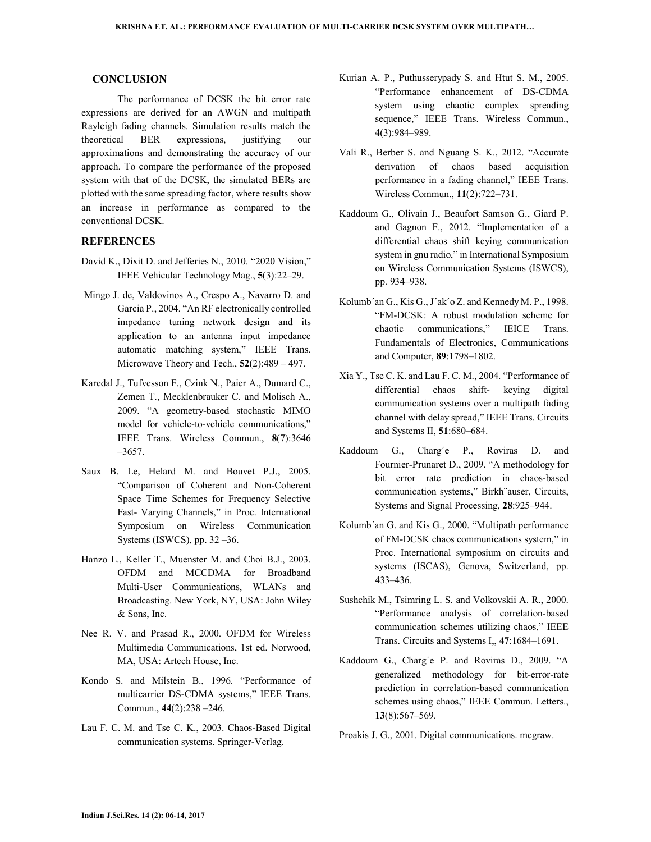#### **CONCLUSION**

The performance of DCSK the bit error rate expressions are derived for an AWGN and multipath Rayleigh fading channels. Simulation results match the theoretical BER expressions, justifying our approximations and demonstrating the accuracy of our approach. To compare the performance of the proposed system with that of the DCSK, the simulated BERs are plotted with the same spreading factor, where results show an increase in performance as compared to the conventional DCSK.

### **REFERENCES**

- David K., Dixit D. and Jefferies N., 2010. "2020 Vision," IEEE Vehicular Technology Mag., **5**(3):22–29.
- Mingo J. de, Valdovinos A., Crespo A., Navarro D. and Garcia P., 2004. "An RF electronically controlled impedance tuning network design and its application to an antenna input impedance automatic matching system," IEEE Trans. Microwave Theory and Tech., **52**(2):489 – 497.
- Karedal J., Tufvesson F., Czink N., Paier A., Dumard C., Zemen T., Mecklenbrauker C. and Molisch A., 2009. "A geometry-based stochastic MIMO model for vehicle-to-vehicle communications," IEEE Trans. Wireless Commun., **8**(7):3646 –3657.
- Saux B. Le, Helard M. and Bouvet P.J., 2005. "Comparison of Coherent and Non-Coherent Space Time Schemes for Frequency Selective Fast- Varying Channels," in Proc. International Symposium on Wireless Communication Systems (ISWCS), pp. 32 –36.
- Hanzo L., Keller T., Muenster M. and Choi B.J., 2003. OFDM and MCCDMA for Broadband Multi-User Communications, WLANs and Broadcasting. New York, NY, USA: John Wiley & Sons, Inc.
- Nee R. V. and Prasad R., 2000. OFDM for Wireless Multimedia Communications, 1st ed. Norwood, MA, USA: Artech House, Inc.
- Kondo S. and Milstein B., 1996. "Performance of multicarrier DS-CDMA systems," IEEE Trans. Commun., **44**(2):238 –246.
- Lau F. C. M. and Tse C. K., 2003. Chaos-Based Digital communication systems. Springer-Verlag.
- Kurian A. P., Puthusserypady S. and Htut S. M., 2005. "Performance enhancement of DS-CDMA system using chaotic complex spreading sequence," IEEE Trans. Wireless Commun., **4**(3):984–989.
- Vali R., Berber S. and Nguang S. K., 2012. "Accurate derivation of chaos based acquisition performance in a fading channel," IEEE Trans. Wireless Commun., **11**(2):722–731.
- Kaddoum G., Olivain J., Beaufort Samson G., Giard P. and Gagnon F., 2012. "Implementation of a differential chaos shift keying communication system in gnu radio," in International Symposium on Wireless Communication Systems (ISWCS), pp. 934–938.
- Kolumb´an G., Kis G., J´ak´o Z. and Kennedy M. P., 1998. "FM-DCSK: A robust modulation scheme for chaotic communications," IEICE Trans. Fundamentals of Electronics, Communications and Computer, **89**:1798–1802.
- Xia Y., Tse C. K. and Lau F. C. M., 2004. "Performance of differential chaos shift- keying digital communication systems over a multipath fading channel with delay spread," IEEE Trans. Circuits and Systems II, **51**:680–684.
- Kaddoum G., Charg´e P., Roviras D. and Fournier-Prunaret D., 2009. "A methodology for bit error rate prediction in chaos-based communication systems," Birkh¨auser, Circuits, Systems and Signal Processing, **28**:925–944.
- Kolumb´an G. and Kis G., 2000. "Multipath performance of FM-DCSK chaos communications system," in Proc. International symposium on circuits and systems (ISCAS), Genova, Switzerland, pp. 433–436.
- Sushchik M., Tsimring L. S. and Volkovskii A. R., 2000. "Performance analysis of correlation-based communication schemes utilizing chaos," IEEE Trans. Circuits and Systems I,, **47**:1684–1691.
- Kaddoum G., Charg´e P. and Roviras D., 2009. "A generalized methodology for bit-error-rate prediction in correlation-based communication schemes using chaos," IEEE Commun. Letters., **13**(8):567–569.
- Proakis J. G., 2001. Digital communications. mcgraw.